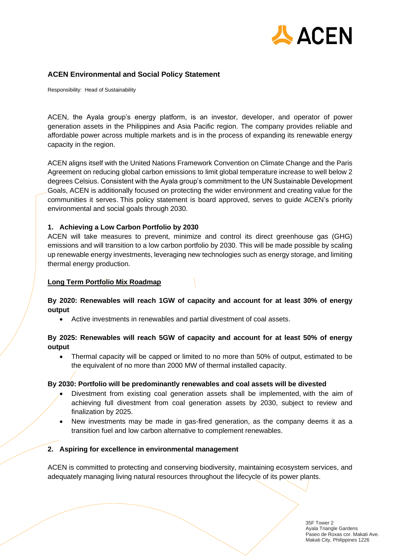

## **ACEN Environmental and Social Policy Statement**

Responsibility: Head of Sustainability

ACEN, the Ayala group's energy platform, is an investor, developer, and operator of power generation assets in the Philippines and Asia Pacific region. The company provides reliable and affordable power across multiple markets and is in the process of expanding its renewable energy capacity in the region.

ACEN aligns itself with the United Nations Framework Convention on Climate Change and the Paris Agreement on reducing global carbon emissions to limit global temperature increase to well below 2 degrees Celsius. Consistent with the Ayala group's commitment to the UN Sustainable Development Goals, ACEN is additionally focused on protecting the wider environment and creating value for the communities it serves. This policy statement is board approved, serves to guide ACEN's priority environmental and social goals through 2030.

#### **1. Achieving a Low Carbon Portfolio by 2030**

ACEN will take measures to prevent, minimize and control its direct greenhouse gas (GHG) emissions and will transition to a low carbon portfolio by 2030. This will be made possible by scaling up renewable energy investments, leveraging new technologies such as energy storage, and limiting thermal energy production.

#### **Long Term Portfolio Mix Roadmap**

#### **By 2020: Renewables will reach 1GW of capacity and account for at least 30% of energy output**

• Active investments in renewables and partial divestment of coal assets.

#### **By 2025: Renewables will reach 5GW of capacity and account for at least 50% of energy output**

• Thermal capacity will be capped or limited to no more than 50% of output, estimated to be the equivalent of no more than 2000 MW of thermal installed capacity.

#### **By 2030: Portfolio will be predominantly renewables and coal assets will be divested**

- Divestment from existing coal generation assets shall be implemented, with the aim of achieving full divestment from coal generation assets by 2030, subject to review and finalization by 2025.
- New investments may be made in gas-fired generation, as the company deems it as a transition fuel and low carbon alternative to complement renewables.

#### **2. Aspiring for excellence in environmental management**

ACEN is committed to protecting and conserving biodiversity, maintaining ecosystem services, and adequately managing living natural resources throughout the lifecycle of its power plants.

> 35F Tower 2 Ayala Triangle Gardens Paseo de Roxas cor. Makati Ave. Makati City, Philippines 1226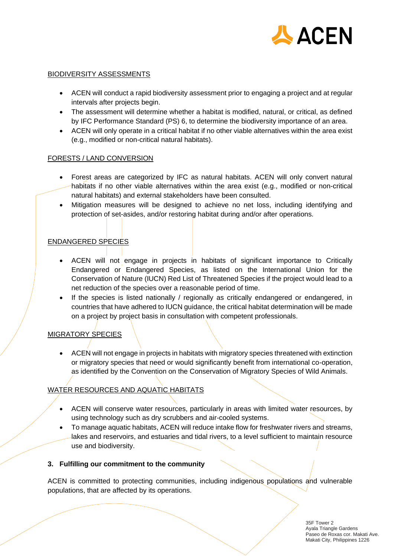

## BIODIVERSITY ASSESSMENTS

- ACEN will conduct a rapid biodiversity assessment prior to engaging a project and at regular intervals after projects begin.
- The assessment will determine whether a habitat is modified, natural, or critical, as defined by IFC Performance Standard (PS) 6, to determine the biodiversity importance of an area.
- ACEN will only operate in a critical habitat if no other viable alternatives within the area exist (e.g., modified or non-critical natural habitats).

## FORESTS / LAND CONVERSION

- Forest areas are categorized by IFC as natural habitats. ACEN will only convert natural habitats if no other viable alternatives within the area exist (e.g., modified or non-critical natural habitats) and external stakeholders have been consulted.
- Mitigation measures will be designed to achieve no net loss, including identifying and protection of set-asides, and/or restoring habitat during and/or after operations.

# ENDANGERED SPECIES

- ACEN will not engage in projects in habitats of significant importance to Critically Endangered or Endangered Species, as listed on the International Union for the Conservation of Nature (IUCN) Red List of Threatened Species if the project would lead to a net reduction of the species over a reasonable period of time.
- If the species is listed nationally / regionally as critically endangered or endangered, in countries that have adhered to IUCN guidance, the critical habitat determination will be made on a project by project basis in consultation with competent professionals.

# MIGRATORY SPECIES

• ACEN will not engage in projects in habitats with migratory species threatened with extinction or migratory species that need or would significantly benefit from international co-operation, as identified by the Convention on the Conservation of Migratory Species of Wild Animals.

# WATER RESOURCES AND AQUATIC HABITATS

- ACEN will conserve water resources, particularly in areas with limited water resources, by using technology such as dry scrubbers and air-cooled systems.
- To manage aquatic habitats, ACEN will reduce intake flow for freshwater rivers and streams, lakes and reservoirs, and estuaries and tidal rivers, to a level sufficient to maintain resource use and biodiversity.

## **3. Fulfilling our commitment to the community**

ACEN is committed to protecting communities, including indigenous populations and vulnerable populations, that are affected by its operations.